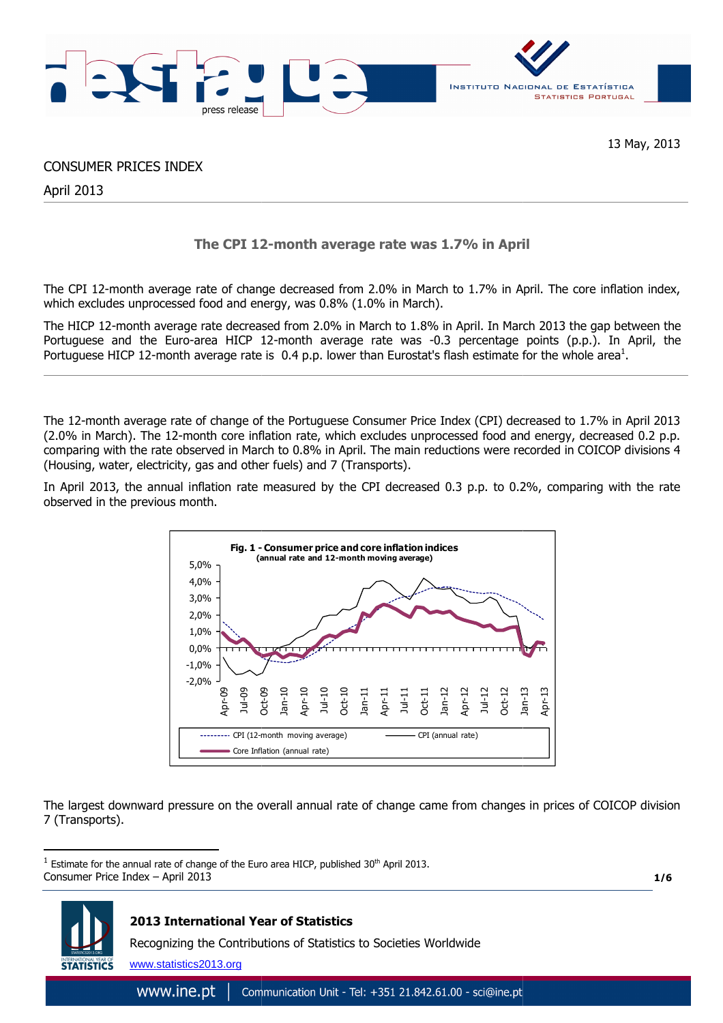

13 May, 2013

CONSUMER PRICES INDEX

April 2013

# **The CPI 12 12-month average rate was 1.7% in April**

The CPI 12-month average rate of change decreased from 2.0% in March to 1.7% in April. The core inflation index, which excludes unprocessed food and energy, was 0.8% (1.0% in March).

The HICP 12-month average rate decreased from 2.0% in March to 1.8% in April. In March 2013 the gap between the Portuguese and the Euro-area HICP 12-month average rate was -0.3 percentage points (p.p.). In April, the Portuguese HICP 12-month average rate is 0.4 p.p. lower than Eurostat's flash estimate for the whole area<sup>1</sup>.

The 12-month average rate of change of the Portuguese Consumer Price Index (CPI) decreased to 1.7% in April 2013 (2.0% in March). The 12-month core inflation rate, which excludes unprocessed food and energy, decreased 0.2 p.p. comparing with the rate observed in March to 0.8% in April. The main reductions were recorded in COICOP divisions 4 (Housing, water, electricity, gas and other fuels) and 7 (Transports).

In April 2013, the annual inflation rate measured by the CPI decreased 0.3 p.p. to 0.2%, comparing with the rate observed in the previous month.



The largest downward pressure on the overall annual rate of change came from changes in prices of COICOP division 7 (Transports).

**1/6**



 $\overline{a}$ 

## **2013 International Year of Statistics**

Recognizing the Contributions of Statistics to Societies Worldwide

www.statistics2013.org

Consumer Price Index – April 2013  $<sup>1</sup>$  Estimate for the annual rate of change of the Euro area HICP,</sup>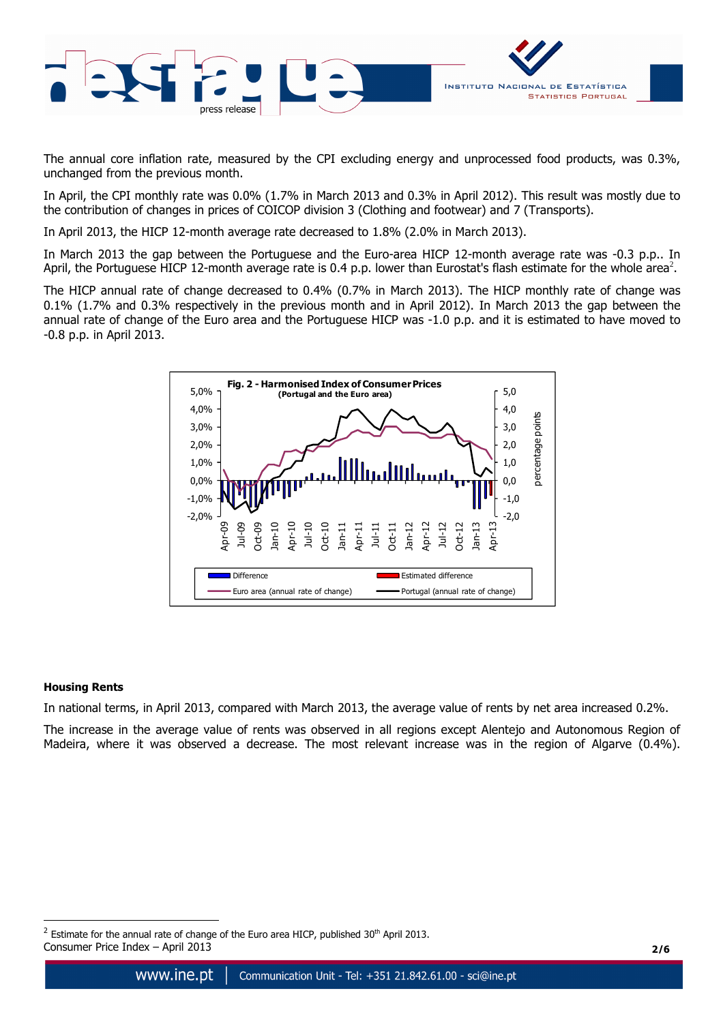

The annual core inflation rate, measured by the CPI excluding energy and unprocessed food products, was 0.3%, unchanged from the previous month.

In April, the CPI monthly rate was 0.0% (1.7% in March 2013 and 0.3% in April 2012). This result was mostly due to the contribution of changes in prices of COICOP division 3 (Clothing and footwear) and 7 (Transports).

In April 2013, the HICP 12-month average rate decreased to 1.8% (2.0% in March 2013).

In March 2013 the gap between the Portuguese and the Euro-area HICP 12-month average rate was -0.3 p.p.. In April, the Portuguese HICP 12-month average rate is 0.4 p.p. lower than Eurostat's flash estimate for the whole area<sup>2</sup>.

The HICP annual rate of change decreased to 0.4% (0.7% in March 2013). The HICP monthly rate of change was 0.1% (1.7% and 0.3% respectively in the previous month and in April 2012). In March 2013 the gap between the annual rate of change of the Euro area and the Portuguese HICP was -1.0 p.p. and it is estimated to have moved to -0.8 p.p. in April 2013.



## **Housing Rents**

 $\overline{a}$ 

In national terms, in April 2013, compared with March 2013, the average value of rents by net area increased 0.2%.

The increase in the average value of rents was observed in all regions except Alentejo and Autonomous Region of Madeira, where it was observed a decrease. The most relevant increase was in the region of Algarve (0.4%).

Consumer Price Index – April 2013 **2/6** <sup>2</sup> Estimate for the annual rate of change of the Euro area HICP, published 30<sup>th</sup> April 2013.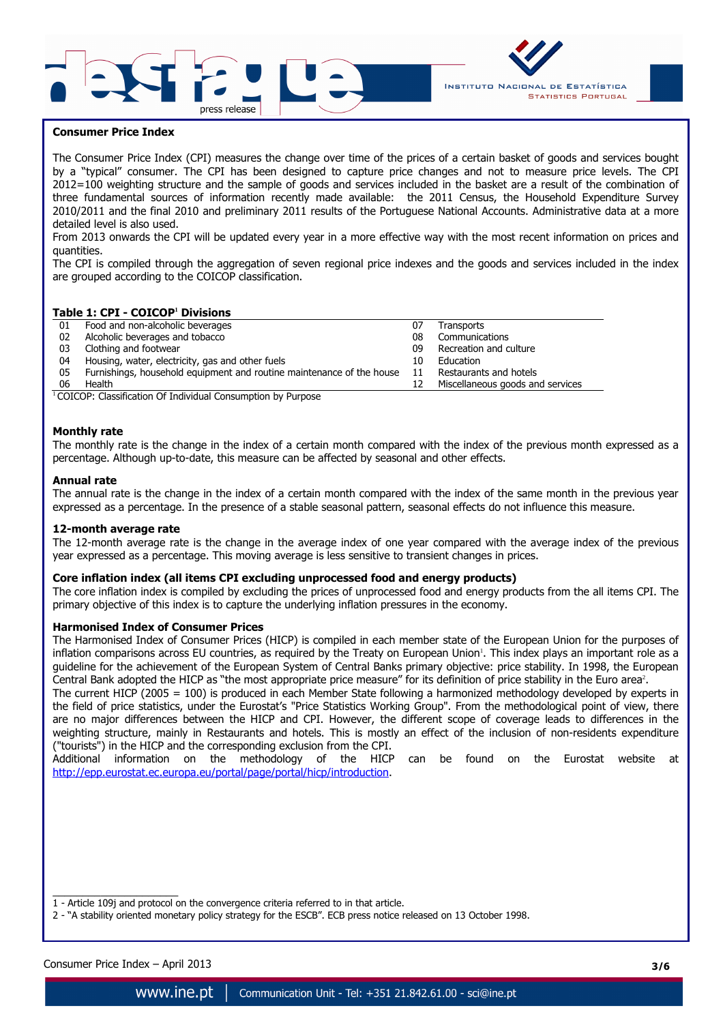



### **Consumer Price Index**

The Consumer Price Index (CPI) measures the change over time of the prices of a certain basket of goods and services bought by a "typical" consumer. The CPI has been designed to capture price changes and not to measure price levels. The CPI 2012=100 weighting structure and the sample of goods and services included in the basket are a result of the combination of three fundamental sources of information recently made available: the 2011 Census, the Household Expenditure Survey 2010/2011 and the final 2010 and preliminary 2011 results of the Portuguese National Accounts. Administrative data at a more detailed level is also used.

From 2013 onwards the CPI will be updated every year in a more effective way with the most recent information on prices and quantities.

The CPI is compiled through the aggregation of seven regional price indexes and the goods and services included in the index are grouped according to the COICOP classification.

#### **Table 1: CPI - COICOP<sup>1</sup> Divisions**

| 01 | Food and non-alcoholic beverages                                      | 07  | Transports                       |
|----|-----------------------------------------------------------------------|-----|----------------------------------|
| 02 | Alcoholic beverages and tobacco                                       | 08  | Communications                   |
| 03 | Clothing and footwear                                                 | 09  | Recreation and culture           |
| 04 | Housing, water, electricity, gas and other fuels                      | 10  | Education                        |
| 05 | Furnishings, household equipment and routine maintenance of the house | -11 | Restaurants and hotels           |
| 06 | Health                                                                |     | Miscellaneous goods and services |

 $1$ COICOP: Classification Of Individual Consumption by Purpose

#### **Monthly rate**

The monthly rate is the change in the index of a certain month compared with the index of the previous month expressed as a percentage. Although up-to-date, this measure can be affected by seasonal and other effects.

#### **Annual rate**

The annual rate is the change in the index of a certain month compared with the index of the same month in the previous year expressed as a percentage. In the presence of a stable seasonal pattern, seasonal effects do not influence this measure.

#### **12-month average rate**

The 12-month average rate is the change in the average index of one year compared with the average index of the previous year expressed as a percentage. This moving average is less sensitive to transient changes in prices.

#### **Core inflation index (all items CPI excluding unprocessed food and energy products)**

The core inflation index is compiled by excluding the prices of unprocessed food and energy products from the all items CPI. The primary objective of this index is to capture the underlying inflation pressures in the economy.

#### **Harmonised Index of Consumer Prices**

The Harmonised Index of Consumer Prices (HICP) is compiled in each member state of the European Union for the purposes of inflation comparisons across EU countries, as required by the Treaty on European Union'. This index plays an important role as a guideline for the achievement of the European System of Central Banks primary objective: price stability. In 1998, the European Central Bank adopted the HICP as "the most appropriate price measure" for its definition of price stability in the Euro area<sup>2</sup>.

The current HICP (2005 = 100) is produced in each Member State following a harmonized methodology developed by experts in the field of price statistics, under the Eurostat's "Price Statistics Working Group". From the methodological point of view, there are no major differences between the HICP and CPI. However, the different scope of coverage leads to differences in the weighting structure, mainly in Restaurants and hotels. This is mostly an effect of the inclusion of non-residents expenditure ("tourists") in the HICP and the corresponding exclusion from the CPI.

Additional information on the methodology of the HICP can be found on the Eurostat website at http://epp.eurostat.ec.europa.eu/portal/page/portal/hicp/introduction.

 $\overline{\phantom{a}}$  , and the set of the set of the set of the set of the set of the set of the set of the set of the set of the set of the set of the set of the set of the set of the set of the set of the set of the set of the s 1 - Article 109j and protocol on the convergence criteria referred to in that article.

2 - "A stability oriented monetary policy strategy for the ESCB". ECB press notice released on 13 October 1998.

Consumer Price Index – April 2013 **3/6**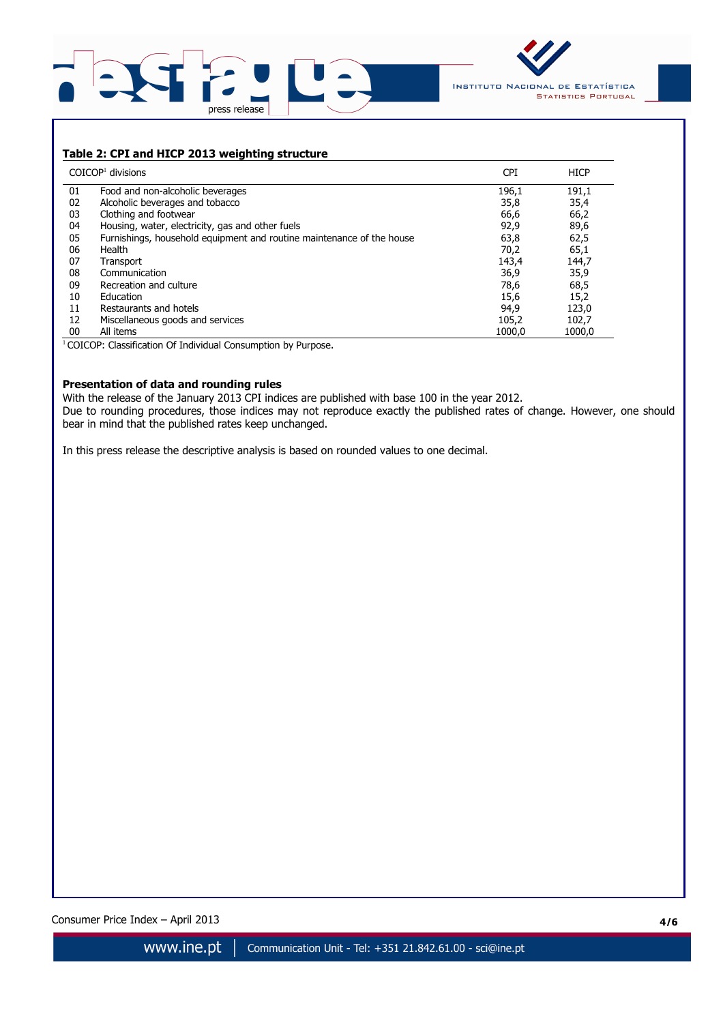



## **Table 2: CPI and HICP 2013 weighting structure**

|    | $COICOP1$ divisions                                                   | <b>CPI</b> | <b>HICP</b> |
|----|-----------------------------------------------------------------------|------------|-------------|
| 01 | Food and non-alcoholic beverages                                      | 196,1      | 191,1       |
| 02 | Alcoholic beverages and tobacco                                       | 35,8       | 35,4        |
| 03 | Clothing and footwear                                                 | 66,6       | 66,2        |
| 04 | Housing, water, electricity, gas and other fuels                      | 92,9       | 89,6        |
| 05 | Furnishings, household equipment and routine maintenance of the house | 63,8       | 62,5        |
| 06 | Health                                                                | 70,2       | 65,1        |
| 07 | Transport                                                             | 143,4      | 144,7       |
| 08 | Communication                                                         | 36,9       | 35,9        |
| 09 | Recreation and culture                                                | 78,6       | 68,5        |
| 10 | Education                                                             | 15,6       | 15,2        |
| 11 | Restaurants and hotels                                                | 94,9       | 123,0       |
| 12 | Miscellaneous goods and services                                      | 105,2      | 102,7       |
| 00 | All items                                                             | 1000.0     | 1000.0      |

<sup>1</sup> COICOP: Classification Of Individual Consumption by Purpose.

### **Presentation of data and rounding rules**

With the release of the January 2013 CPI indices are published with base 100 in the year 2012. Due to rounding procedures, those indices may not reproduce exactly the published rates of change. However, one should bear in mind that the published rates keep unchanged.

In this press release the descriptive analysis is based on rounded values to one decimal.

Consumer Price Index – April 2013 **4/6**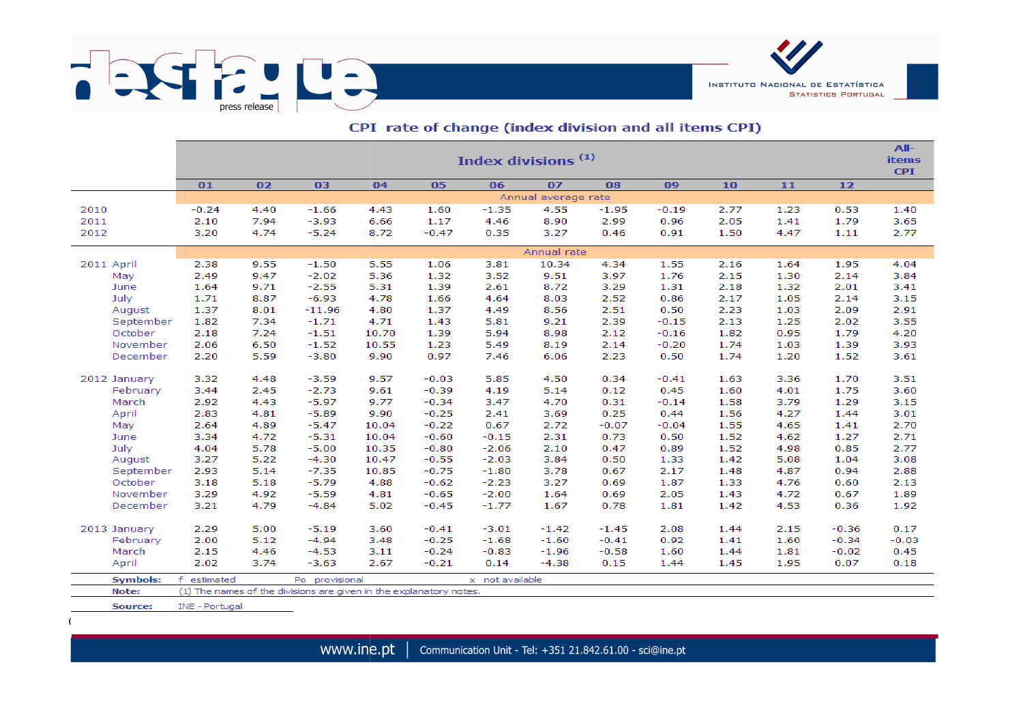

|                     | Index divisions <sup>(1)</sup> |      |                                                                    |       |         |                 |         |                                               |         |      |      |         |              |  |  |  |  |  |  |
|---------------------|--------------------------------|------|--------------------------------------------------------------------|-------|---------|-----------------|---------|-----------------------------------------------|---------|------|------|---------|--------------|--|--|--|--|--|--|
|                     | 01                             | 02   | 03                                                                 | 04    | 05      | 06              | 07      | 08                                            | 09      | 10   | 11   | 12      |              |  |  |  |  |  |  |
|                     | Annual average rate            |      |                                                                    |       |         |                 |         |                                               |         |      |      |         |              |  |  |  |  |  |  |
| 2010                | $-0.24$                        | 4.40 | $-1.66$                                                            | 4.43  | 1.60    | $-1.35$         | 4.55    | $-1.95$                                       | $-0.19$ | 2.77 | 1.23 | 0.53    | 1.40         |  |  |  |  |  |  |
| 2011                | 2.10                           | 7.94 | $-3.93$                                                            | 6.66  | 1.17    | 4.46            | 8.90    | 2.99                                          | 0.96    | 2.05 | 1.41 | 1.79    | 3.65         |  |  |  |  |  |  |
| 2012                | 3.20                           | 4.74 | $-5.24$                                                            | 8.72  | $-0.47$ | 0.35            | 3.27    | 0.46                                          | 0.91    | 1.50 | 4.47 | 1.11    | 2.77         |  |  |  |  |  |  |
|                     | Annual rate                    |      |                                                                    |       |         |                 |         |                                               |         |      |      |         |              |  |  |  |  |  |  |
| 2011 April          | 2.38                           | 9.55 | $-1.50$                                                            | 5.55  | 1.06    | 3.81            |         | 10.34<br>4.34<br>1.55<br>2.16<br>1.64<br>1.95 |         |      |      |         |              |  |  |  |  |  |  |
| May                 | 2.49                           | 9.47 | $-2.02$                                                            | 5.36  | 1.32    | 3.52            | 9.51    | 3.97                                          | 1.76    | 2.15 | 1.30 | 2.14    | 4.04<br>3.84 |  |  |  |  |  |  |
| June                | 1.64                           | 9.71 | $-2.55$                                                            | 5.31  | 1.39    | 2.61            | 8.72    | 3.29                                          | 1.31    | 2.18 | 1.32 | 2.01    | 3.41         |  |  |  |  |  |  |
| July                | 1.71                           | 8.87 | $-6.93$                                                            | 4.78  | 1.66    | 4.64            | 8.03    | 2.52                                          | 0.86    | 2.17 | 1.05 | 2.14    | 3.15         |  |  |  |  |  |  |
|                     | 1.37                           | 8.01 | $-11.96$                                                           | 4.80  | 1.37    | 4.49            | 8.56    | 2.51                                          | 0.50    | 2.23 | 1.03 | 2.09    | 2.91         |  |  |  |  |  |  |
| August<br>September | 1.82                           | 7.34 | $-1.71$                                                            | 4.71  | 1.43    | 5.81            | 9.21    | 2.39                                          | $-0.15$ | 2.13 | 1.25 | 2.02    | 3.55         |  |  |  |  |  |  |
| October             | 2.18                           | 7.24 | $-1.51$                                                            | 10.70 | 1.39    | 5.94            | 8.98    | 2.12                                          | $-0.16$ | 1.82 | 0.95 | 1.79    | 4.20         |  |  |  |  |  |  |
| November            | 2.06                           | 6.50 | $-1.52$                                                            | 10.55 | 1.23    | 5.49            | 8.19    | 2.14                                          | $-0.20$ | 1.74 | 1.03 | 1.39    | 3.93         |  |  |  |  |  |  |
|                     |                                |      | $-3.80$                                                            | 9.90  | 0.97    |                 |         |                                               |         | 1.74 |      |         |              |  |  |  |  |  |  |
| December            | 2.20                           | 5.59 |                                                                    |       |         | 7.46            | 6.06    | 2.23                                          | 0.50    |      | 1.20 | 1.52    | 3.61         |  |  |  |  |  |  |
| 2012 January        | 3.32                           | 4.48 | $-3.59$                                                            | 9.57  | $-0.03$ | 5.85            | 4.50    | 0.34                                          | $-0.41$ | 1.63 | 3.36 | 1.70    | 3.51         |  |  |  |  |  |  |
| February            | 3.44                           | 2.45 | $-2.73$                                                            | 9.61  | $-0.39$ | 4.19            | 5.14    | 0.12                                          | 0.45    | 1.60 | 4.01 | 1.75    | 3.60         |  |  |  |  |  |  |
| March               | 2.92                           | 4.43 | $-5.97$                                                            | 9.77  | $-0.34$ | 3.47            | 4.70    | 0.31                                          | $-0.14$ | 1.58 | 3.79 | 1.29    | 3.15         |  |  |  |  |  |  |
| April               | 2.83                           | 4.81 | $-5.89$                                                            | 9.90  | $-0.25$ | 2.41            | 3.69    | 0.25                                          | 0.44    | 1.56 | 4.27 | 1.44    | 3.01         |  |  |  |  |  |  |
| May                 | 2.64                           | 4.89 | $-5.47$                                                            | 10.04 | $-0.22$ | 0.67            | 2.72    | $-0.07$                                       | $-0.04$ | 1.55 | 4.65 | 1.41    | 2.70         |  |  |  |  |  |  |
| June                | 3.34                           | 4.72 | $-5.31$                                                            | 10.04 | $-0.60$ | $-0.15$         | 2.31    | 0.73                                          | 0.50    | 1.52 | 4.62 | 1.27    | 2.71         |  |  |  |  |  |  |
| July                | 4.04                           | 5.78 | $-5.00$                                                            | 10.35 | $-0.80$ | $-2.06$         | 2.10    | 0.47                                          | 0.89    | 1.52 | 4.98 | 0.85    | 2.77         |  |  |  |  |  |  |
| August              | 3.27                           | 5.22 | $-4.30$                                                            | 10.47 | $-0.55$ | $-2.03$         | 3.84    | 0.50                                          | 1.33    | 1.42 | 5.08 | 1.04    | 3.08         |  |  |  |  |  |  |
| September           | 2.93                           | 5.14 | $-7.35$                                                            | 10.85 | $-0.75$ | $-1.80$         | 3.78    | 0.67                                          | 2.17    | 1.48 | 4.87 | 0.94    | 2.88         |  |  |  |  |  |  |
| October             | 3.18                           | 5.18 | $-5.79$                                                            | 4.88  | $-0.62$ | $-2.23$         | 3.27    | 0.69                                          | 1.87    | 1.33 | 4.76 | 0.60    | 2.13         |  |  |  |  |  |  |
| November            | 3.29                           | 4.92 | $-5.59$                                                            | 4.81  | $-0.65$ | $-2.00$         | 1.64    | 0.69                                          | 2.05    | 1.43 | 4.72 | 0.67    | 1.89         |  |  |  |  |  |  |
| December            | 3.21                           | 4.79 | $-4.84$                                                            | 5.02  | $-0.45$ | $-1.77$         | 1.67    | 0.78                                          | 1.81    | 1.42 | 4.53 | 0.36    | 1.92         |  |  |  |  |  |  |
|                     |                                |      |                                                                    |       |         |                 |         |                                               |         |      |      |         |              |  |  |  |  |  |  |
| 2013 January        | 2.29                           | 5.00 | $-5.19$                                                            | 3.60  | $-0.41$ | $-3.01$         | $-1.42$ | $-1.45$                                       | 2.08    | 1.44 | 2.15 | $-0.36$ | 0.17         |  |  |  |  |  |  |
| February            | 2.00                           | 5.12 | $-4.94$                                                            | 3.48  | $-0.25$ | $-1.68$         | $-1.60$ | $-0.41$                                       | 0.92    | 1.41 | 1.60 | $-0.34$ | $-0.03$      |  |  |  |  |  |  |
| March               | 2.15                           | 4.46 | $-4.53$                                                            | 3.11  | $-0.24$ | $-0.83$         | $-1.96$ | $-0.58$                                       | 1.60    | 1.44 | 1.81 | $-0.02$ | 0.45         |  |  |  |  |  |  |
| April               | 2.02                           | 3.74 | $-3.63$                                                            | 2.67  | $-0.21$ | 0.14            | $-4.38$ | 0.15                                          | 1.44    | 1.45 | 1.95 | 0.07    | 0.18         |  |  |  |  |  |  |
| <b>Symbols:</b>     | f estimated                    |      | Po provisional                                                     |       |         | x not available |         |                                               |         |      |      |         |              |  |  |  |  |  |  |
| Note:               |                                |      | (1) The names of the divisions are given in the explanatory notes. |       |         |                 |         |                                               |         |      |      |         |              |  |  |  |  |  |  |
|                     |                                |      |                                                                    |       |         |                 |         |                                               |         |      |      |         |              |  |  |  |  |  |  |

## CPI rate of change (index division and all items CPI)

**INSTITUTO NACIONAL DE ESTATÍSTICA** 

**STATISTICS PORTUGAL** 

Source: INE - Portugal

Consumer Price Index – April 2013 **5/6**